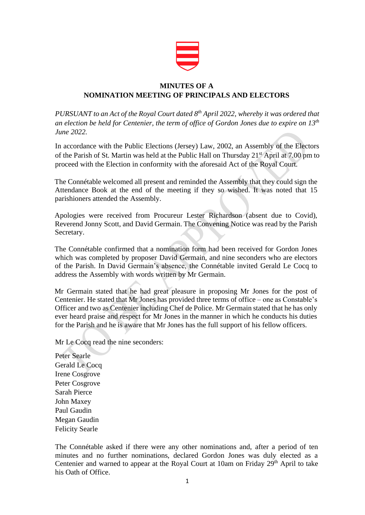

## **MINUTES OF A NOMINATION MEETING OF PRINCIPALS AND ELECTORS**

*PURSUANT to an Act of the Royal Court dated 8 th April 2022, whereby it was ordered that an election be held for Centenier, the term of office of Gordon Jones due to expire on 13th June 2022.*

In accordance with the Public Elections (Jersey) Law, 2002, an Assembly of the Electors of the Parish of St. Martin was held at the Public Hall on Thursday 21<sup>st</sup> April at 7.00 pm to proceed with the Election in conformity with the aforesaid Act of the Royal Court.

The Connétable welcomed all present and reminded the Assembly that they could sign the Attendance Book at the end of the meeting if they so wished. It was noted that 15 parishioners attended the Assembly.

Apologies were received from Procureur Lester Richardson (absent due to Covid), Reverend Jonny Scott, and David Germain. The Convening Notice was read by the Parish Secretary.

The Connétable confirmed that a nomination form had been received for Gordon Jones which was completed by proposer David Germain, and nine seconders who are electors of the Parish. In David Germain's absence, the Connétable invited Gerald Le Cocq to address the Assembly with words written by Mr Germain.

Mr Germain stated that he had great pleasure in proposing Mr Jones for the post of Centenier. He stated that Mr Jones has provided three terms of office – one as Constable's Officer and two as Centenier including Chef de Police. Mr Germain stated that he has only ever heard praise and respect for Mr Jones in the manner in which he conducts his duties for the Parish and he is aware that Mr Jones has the full support of his fellow officers.

Mr Le Cocq read the nine seconders:

Peter Searle Gerald Le Cocq Irene Cosgrove Peter Cosgrove Sarah Pierce John Maxey Paul Gaudin Megan Gaudin Felicity Searle

The Connétable asked if there were any other nominations and, after a period of ten minutes and no further nominations, declared Gordon Jones was duly elected as a Centenier and warned to appear at the Royal Court at 10am on Friday 29<sup>th</sup> April to take his Oath of Office.